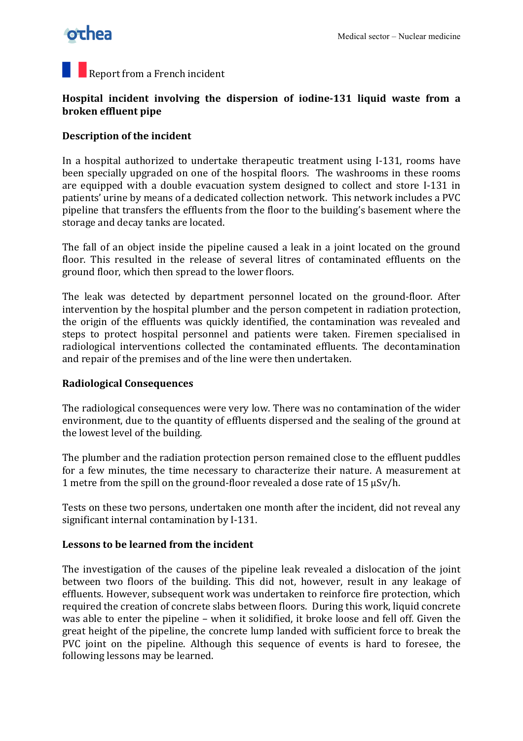## **othea**

### Report from a French incident

#### **Hospital incident involving the dispersion of iodine-131 liquid waste from a broken effluent pipe**

#### **Description of the incident**

In a hospital authorized to undertake therapeutic treatment using I-131, rooms have been specially upgraded on one of the hospital floors. The washrooms in these rooms are equipped with a double evacuation system designed to collect and store I-131 in patients' urine by means of a dedicated collection network. This network includes a PVC pipeline that transfers the effluents from the floor to the building's basement where the storage and decay tanks are located.

The fall of an object inside the pipeline caused a leak in a joint located on the ground floor. This resulted in the release of several litres of contaminated effluents on the ground floor, which then spread to the lower floors.

The leak was detected by department personnel located on the ground-floor. After intervention by the hospital plumber and the person competent in radiation protection, the origin of the effluents was quickly identified, the contamination was revealed and steps to protect hospital personnel and patients were taken. Firemen specialised in radiological interventions collected the contaminated effluents. The decontamination and repair of the premises and of the line were then undertaken.

#### **Radiological!Consequences**

The radiological consequences were very low. There was no contamination of the wider environment, due to the quantity of effluents dispersed and the sealing of the ground at the lowest level of the building.

The plumber and the radiation protection person remained close to the effluent puddles for a few minutes, the time necessary to characterize their nature. A measurement at 1 metre from the spill on the ground-floor revealed a dose rate of  $15 \mu Sv/h$ .

Tests on these two persons, undertaken one month after the incident, did not reveal any significant internal contamination by I-131.

#### **Lessons to be learned from the incident**

The investigation of the causes of the pipeline leak revealed a dislocation of the joint between two floors of the building. This did not, however, result in any leakage of effluents. However, subsequent work was undertaken to reinforce fire protection, which required the creation of concrete slabs between floors. During this work, liquid concrete was able to enter the pipeline – when it solidified, it broke loose and fell off. Given the great height of the pipeline, the concrete lump landed with sufficient force to break the PVC joint on the pipeline. Although this sequence of events is hard to foresee, the following lessons may be learned.